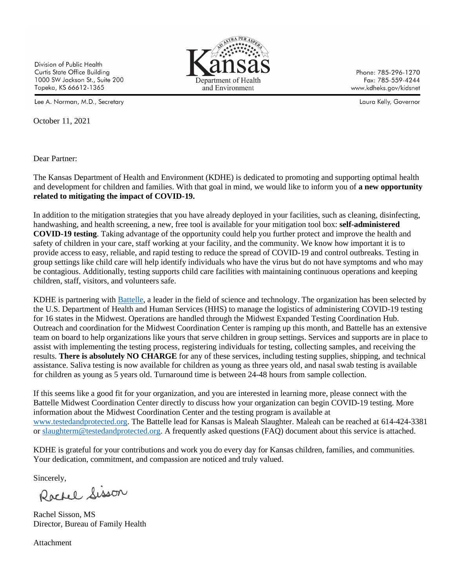Division of Public Health Curtis State Office Building 1000 SW Jackson St., Suite 200 Topeka, KS 66612-1365

Lee A. Norman, M.D., Secretary

October 11, 2021

Dear Partner:



Phone: 785-296-1270 Fax: 785-559-4244 www.kdheks.gov/kidsnet

Laura Kelly, Governor

The Kansas Department of Health and Environment (KDHE) is dedicated to promoting and supporting optimal health and development for children and families. With that goal in mind, we would like to inform you of **a new opportunity related to mitigating the impact of COVID-19.**

In addition to the mitigation strategies that you have already deployed in your facilities, such as cleaning, disinfecting, handwashing, and health screening, a new, free tool is available for your mitigation tool box: **self-administered COVID-19 testing**. Taking advantage of the opportunity could help you further protect and improve the health and safety of children in your care, staff working at your facility, and the community. We know how important it is to provide access to easy, reliable, and rapid testing to reduce the spread of COVID-19 and control outbreaks. Testing in group settings like child care will help identify individuals who have the virus but do not have symptoms and who may be contagious. Additionally, testing supports child care facilities with maintaining continuous operations and keeping children, staff, visitors, and volunteers safe.

KDHE is partnering with [Battelle,](https://www.battelle.org/newsroom/press-releases/press-releases-detail/health-and-human-services-awards-battelle-contract-to-deploy-covid-19-testing-in-mid-west-states) a leader in the field of science and technology. The organization has been selected by the U.S. Department of Health and Human Services (HHS) to manage the logistics of administering COVID-19 testing for 16 states in the Midwest. Operations are handled through the Midwest Expanded Testing Coordination Hub. Outreach and coordination for the Midwest Coordination Center is ramping up this month, and Battelle has an extensive team on board to help organizations like yours that serve children in group settings. Services and supports are in place to assist with implementing the testing process, registering individuals for testing, collecting samples, and receiving the results. **There is absolutely NO CHARGE** for any of these services, including testing supplies, shipping, and technical assistance. Saliva testing is now available for children as young as three years old, and nasal swab testing is available for children as young as 5 years old. Turnaround time is between 24-48 hours from sample collection.

If this seems like a good fit for your organization, and you are interested in learning more, please connect with the Battelle Midwest Coordination Center directly to discuss how your organization can begin COVID-19 testing. More information about the Midwest Coordination Center and the testing program is available at [www.testedandprotected.org.](https://gcc02.safelinks.protection.outlook.com/?url=http%3A%2F%2Fwww.testedandprotected.org%2F&data=04%7C01%7CKelli.M.Mark%40ks.gov%7C0e5ed3f841db44b48c9a08d9722f07a1%7Cdcae8101c92d480cbc43c6761ccccc5a%7C0%7C0%7C637666368574245505%7CUnknown%7CTWFpbGZsb3d8eyJWIjoiMC4wLjAwMDAiLCJQIjoiV2luMzIiLCJBTiI6Ik1haWwiLCJXVCI6Mn0%3D%7C1000&sdata=FOePu9%2BbP9Z0alPfBSoGq4mAG9Vy02R7ipHXkITe8TQ%3D&reserved=0) The Battelle lead for Kansas is Maleah Slaughter. Maleah can be reached at 614-424-3381 or [slaughterm@testedandprotected.org.](mailto:slaughterm@testedandprotected.org) A frequently asked questions (FAQ) document about this service is attached.

KDHE is grateful for your contributions and work you do every day for Kansas children, families, and communities. Your dedication, commitment, and compassion are noticed and truly valued.

Sincerely,

Rachel Sisson

Rachel Sisson, MS Director, Bureau of Family Health

Attachment